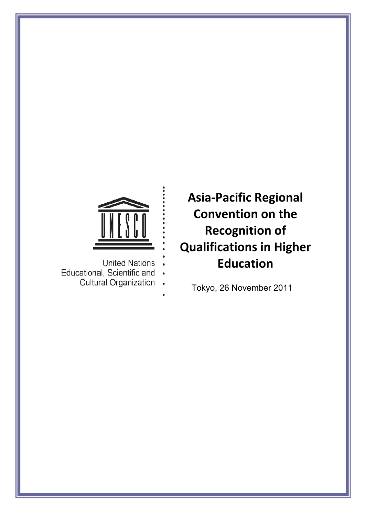

- **United Nations**
- Educational, Scientific and
	- Cultural Organization

**Asia‐Pacific Regional Convention on the Recognition of Qualifications in Higher Education**

Tokyo, 26 November 2011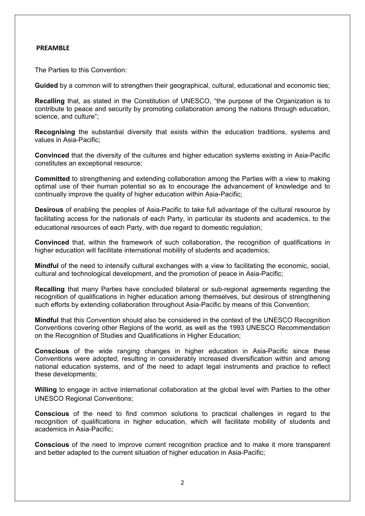#### **PREAMBLE**

The Parties to this Convention:

**Guided** by a common will to strengthen their geographical, cultural, educational and economic ties;

**Recalling** that, as stated in the Constitution of UNESCO, "the purpose of the Organization is to contribute to peace and security by promoting collaboration among the nations through education, science, and culture";

**Recognising** the substantial diversity that exists within the education traditions, systems and values in Asia-Pacific;

**Convinced** that the diversity of the cultures and higher education systems existing in Asia-Pacific constitutes an exceptional resource;

**Committed** to strengthening and extending collaboration among the Parties with a view to making optimal use of their human potential so as to encourage the advancement of knowledge and to continually improve the quality of higher education within Asia-Pacific;

**Desirous** of enabling the peoples of Asia-Pacific to take full advantage of the cultural resource by facilitating access for the nationals of each Party, in particular its students and academics, to the educational resources of each Party, with due regard to domestic regulation;

**Convinced** that, within the framework of such collaboration, the recognition of qualifications in higher education will facilitate international mobility of students and academics;

**Mindful** of the need to intensify cultural exchanges with a view to facilitating the economic, social, cultural and technological development, and the promotion of peace in Asia-Pacific;

**Recalling** that many Parties have concluded bilateral or sub-regional agreements regarding the recognition of qualifications in higher education among themselves, but desirous of strengthening such efforts by extending collaboration throughout Asia-Pacific by means of this Convention;

**Mindful** that this Convention should also be considered in the context of the UNESCO Recognition Conventions covering other Regions of the world, as well as the 1993 UNESCO Recommendation on the Recognition of Studies and Qualifications in Higher Education;

**Conscious** of the wide ranging changes in higher education in Asia-Pacific since these Conventions were adopted, resulting in considerably increased diversification within and among national education systems, and of the need to adapt legal instruments and practice to reflect these developments;

**Willing** to engage in active international collaboration at the global level with Parties to the other UNESCO Regional Conventions;

**Conscious** of the need to find common solutions to practical challenges in regard to the recognition of qualifications in higher education, which will facilitate mobility of students and academics in Asia-Pacific;

**Conscious** of the need to improve current recognition practice and to make it more transparent and better adapted to the current situation of higher education in Asia-Pacific;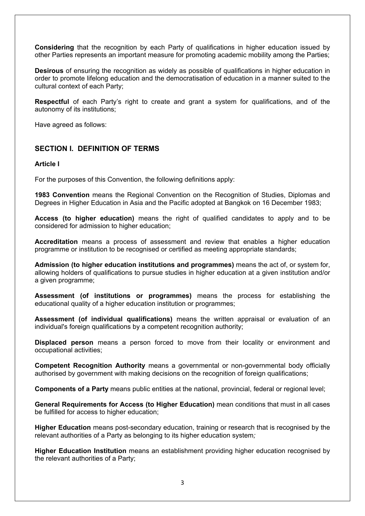**Considering** that the recognition by each Party of qualifications in higher education issued by other Parties represents an important measure for promoting academic mobility among the Parties;

**Desirous** of ensuring the recognition as widely as possible of qualifications in higher education in order to promote lifelong education and the democratisation of education in a manner suited to the cultural context of each Party;

**Respectful** of each Party's right to create and grant a system for qualifications, and of the autonomy of its institutions;

Have agreed as follows:

# **SECTION I. DEFINITION OF TERMS**

#### **Article I**

For the purposes of this Convention, the following definitions apply:

**1983 Convention** means the Regional Convention on the Recognition of Studies, Diplomas and Degrees in Higher Education in Asia and the Pacific adopted at Bangkok on 16 December 1983;

**Access (to higher education)** means the right of qualified candidates to apply and to be considered for admission to higher education;

**Accreditation** means a process of assessment and review that enables a higher education programme or institution to be recognised or certified as meeting appropriate standards;

**Admission (to higher education institutions and programmes)** means the act of, or system for, allowing holders of qualifications to pursue studies in higher education at a given institution and/or a given programme;

**Assessment (of institutions or programmes)** means the process for establishing the educational quality of a higher education institution or programmes;

**Assessment (of individual qualifications)** means the written appraisal or evaluation of an individual's foreign qualifications by a competent recognition authority;

**Displaced person** means a person forced to move from their locality or environment and occupational activities;

**Competent Recognition Authority** means a governmental or non-governmental body officially authorised by government with making decisions on the recognition of foreign qualifications;

**Components of a Party** means public entities at the national, provincial, federal or regional level;

**General Requirements for Access (to Higher Education)** mean conditions that must in all cases be fulfilled for access to higher education;

**Higher Education** means post-secondary education, training or research that is recognised by the relevant authorities of a Party as belonging to its higher education system*;*

**Higher Education Institution** means an establishment providing higher education recognised by the relevant authorities of a Party;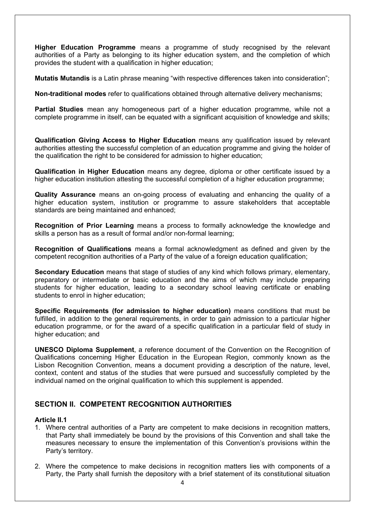**Higher Education Programme** means a programme of study recognised by the relevant authorities of a Party as belonging to its higher education system, and the completion of which provides the student with a qualification in higher education;

**Mutatis Mutandis** is a Latin phrase meaning "with respective differences taken into consideration";

**Non-traditional modes** refer to qualifications obtained through alternative delivery mechanisms;

**Partial Studies** mean any homogeneous part of a higher education programme, while not a complete programme in itself, can be equated with a significant acquisition of knowledge and skills;

**Qualification Giving Access to Higher Education** means any qualification issued by relevant authorities attesting the successful completion of an education programme and giving the holder of the qualification the right to be considered for admission to higher education;

**Qualification in Higher Education** means any degree, diploma or other certificate issued by a higher education institution attesting the successful completion of a higher education programme;

**Quality Assurance** means an on-going process of evaluating and enhancing the quality of a higher education system, institution or programme to assure stakeholders that acceptable standards are being maintained and enhanced;

**Recognition of Prior Learning** means a process to formally acknowledge the knowledge and skills a person has as a result of formal and/or non-formal learning;

**Recognition of Qualifications** means a formal acknowledgment as defined and given by the competent recognition authorities of a Party of the value of a foreign education qualification;

**Secondary Education** means that stage of studies of any kind which follows primary, elementary, preparatory or intermediate or basic education and the aims of which may include preparing students for higher education, leading to a secondary school leaving certificate or enabling students to enrol in higher education;

**Specific Requirements (for admission to higher education)** means conditions that must be fulfilled, in addition to the general requirements, in order to gain admission to a particular higher education programme, or for the award of a specific qualification in a particular field of study in higher education; and

**UNESCO Diploma Supplement**, a reference document of the Convention on the Recognition of Qualifications concerning Higher Education in the European Region, commonly known as the Lisbon Recognition Convention, means a document providing a description of the nature, level, context, content and status of the studies that were pursued and successfully completed by the individual named on the original qualification to which this supplement is appended.

# **SECTION II. COMPETENT RECOGNITION AUTHORITIES**

# **Article II.1**

- 1. Where central authorities of a Party are competent to make decisions in recognition matters, that Party shall immediately be bound by the provisions of this Convention and shall take the measures necessary to ensure the implementation of this Convention's provisions within the Party's territory.
- 2. Where the competence to make decisions in recognition matters lies with components of a Party, the Party shall furnish the depository with a brief statement of its constitutional situation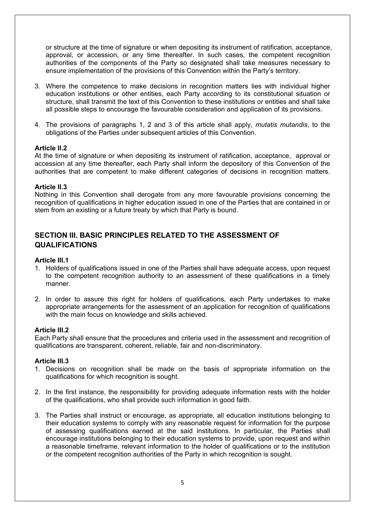or structure at the time of signature or when depositing its instrument of ratification, acceptance, approval, or accession, or any time thereafter. In such cases, the competent recognition authorities of the components of the Party so designated shall take measures necessary to ensure implementation of the provisions of this Convention within the Party's territory.

- 3. Where the competence to make decisions in recognition matters lies with individual higher education institutions or other entities, each Party according to its constitutional situation or structure, shall transmit the text of this Convention to these institutions or entities and shall take all possible steps to encourage the favourable consideration and application of its provisions.
- 4. The provisions of paragraphs 1, 2 and 3 of this article shall apply, *mutatis mutandis*, to the obligations of the Parties under subsequent articles of this Convention.

# **Article II.2**

At the time of signature or when depositing its instrument of ratification, acceptance, approval or accession at any time thereafter, each Party shall inform the depository of this Convention of the authorities that are competent to make different categories of decisions in recognition matters.

#### **Article II.3**

Nothing in this Convention shall derogate from any more favourable provisions concerning the recognition of qualifications in higher education issued in one of the Parties that are contained in or stem from an existing or a future treaty by which that Party is bound.

# **SECTION III. BASIC PRINCIPLES RELATED TO THE ASSESSMENT OF QUALIFICATIONS**

#### **Article III.1**

- 1. Holders of qualifications issued in one of the Parties shall have adequate access, upon request to the competent recognition authority to an assessment of these qualifications in a timely manner.
- 2. In order to assure this right for holders of qualifications, each Party undertakes to make appropriate arrangements for the assessment of an application for recognition of qualifications with the main focus on knowledge and skills achieved.

#### **Article III.2**

Each Party shall ensure that the procedures and criteria used in the assessment and recognition of qualifications are transparent, coherent, reliable, fair and non-discriminatory.

#### **Article III.3**

- 1. Decisions on recognition shall be made on the basis of appropriate information on the qualifications for which recognition is sought.
- 2. In the first instance, the responsibility for providing adequate information rests with the holder of the qualifications, who shall provide such information in good faith.
- 3. The Parties shall instruct or encourage, as appropriate, all education institutions belonging to their education systems to comply with any reasonable request for information for the purpose of assessing qualifications earned at the said institutions. In particular, the Parties shall encourage institutions belonging to their education systems to provide, upon request and within a reasonable timeframe, relevant information to the holder of qualifications or to the institution or the competent recognition authorities of the Party in which recognition is sought.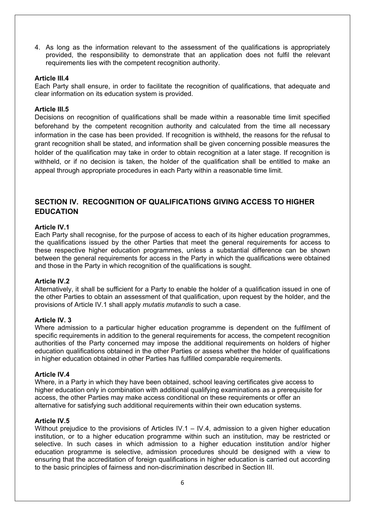4. As long as the information relevant to the assessment of the qualifications is appropriately provided, the responsibility to demonstrate that an application does not fulfil the relevant requirements lies with the competent recognition authority.

## **Article III.4**

Each Party shall ensure, in order to facilitate the recognition of qualifications, that adequate and clear information on its education system is provided.

#### **Article III.5**

Decisions on recognition of qualifications shall be made within a reasonable time limit specified beforehand by the competent recognition authority and calculated from the time all necessary information in the case has been provided. If recognition is withheld, the reasons for the refusal to grant recognition shall be stated, and information shall be given concerning possible measures the holder of the qualification may take in order to obtain recognition at a later stage. If recognition is withheld, or if no decision is taken, the holder of the qualification shall be entitled to make an appeal through appropriate procedures in each Party within a reasonable time limit.

# **SECTION IV. RECOGNITION OF QUALIFICATIONS GIVING ACCESS TO HIGHER EDUCATION**

#### **Article IV.1**

Each Party shall recognise, for the purpose of access to each of its higher education programmes, the qualifications issued by the other Parties that meet the general requirements for access to these respective higher education programmes, unless a substantial difference can be shown between the general requirements for access in the Party in which the qualifications were obtained and those in the Party in which recognition of the qualifications is sought.

#### **Article IV.2**

Alternatively, it shall be sufficient for a Party to enable the holder of a qualification issued in one of the other Parties to obtain an assessment of that qualification, upon request by the holder, and the provisions of Article IV.1 shall apply *mutatis mutandis* to such a case.

#### **Article IV. 3**

Where admission to a particular higher education programme is dependent on the fulfilment of specific requirements in addition to the general requirements for access, the competent recognition authorities of the Party concerned may impose the additional requirements on holders of higher education qualifications obtained in the other Parties or assess whether the holder of qualifications in higher education obtained in other Parties has fulfilled comparable requirements.

#### **Article IV.4**

Where, in a Party in which they have been obtained, school leaving certificates give access to higher education only in combination with additional qualifying examinations as a prerequisite for access, the other Parties may make access conditional on these requirements or offer an alternative for satisfying such additional requirements within their own education systems.

#### **Article IV.5**

Without prejudice to the provisions of Articles IV.1 – IV.4, admission to a given higher education institution, or to a higher education programme within such an institution, may be restricted or selective. In such cases in which admission to a higher education institution and/or higher education programme is selective, admission procedures should be designed with a view to ensuring that the accreditation of foreign qualifications in higher education is carried out according to the basic principles of fairness and non-discrimination described in Section III.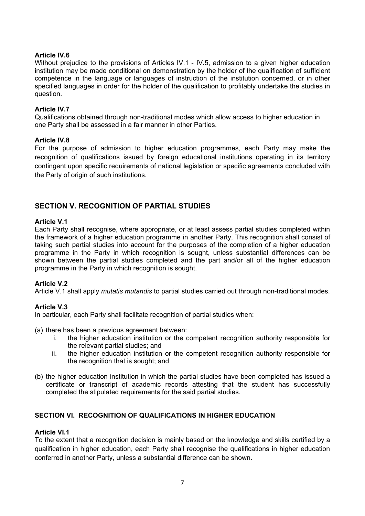# **Article IV.6**

Without prejudice to the provisions of Articles IV.1 - IV.5, admission to a given higher education institution may be made conditional on demonstration by the holder of the qualification of sufficient competence in the language or languages of instruction of the institution concerned, or in other specified languages in order for the holder of the qualification to profitably undertake the studies in question.

## **Article IV.7**

Qualifications obtained through non-traditional modes which allow access to higher education in one Party shall be assessed in a fair manner in other Parties.

#### **Article IV.8**

For the purpose of admission to higher education programmes, each Party may make the recognition of qualifications issued by foreign educational institutions operating in its territory contingent upon specific requirements of national legislation or specific agreements concluded with the Party of origin of such institutions.

# **SECTION V. RECOGNITION OF PARTIAL STUDIES**

#### **Article V.1**

Each Party shall recognise, where appropriate, or at least assess partial studies completed within the framework of a higher education programme in another Party. This recognition shall consist of taking such partial studies into account for the purposes of the completion of a higher education programme in the Party in which recognition is sought, unless substantial differences can be shown between the partial studies completed and the part and/or all of the higher education programme in the Party in which recognition is sought.

# **Article V.2**

Article V.1 shall apply *mutatis mutandis* to partial studies carried out through non-traditional modes.

# **Article V.3**

In particular, each Party shall facilitate recognition of partial studies when:

- (a) there has been a previous agreement between:
	- i. the higher education institution or the competent recognition authority responsible for the relevant partial studies; and
	- ii. the higher education institution or the competent recognition authority responsible for the recognition that is sought; and
- (b) the higher education institution in which the partial studies have been completed has issued a certificate or transcript of academic records attesting that the student has successfully completed the stipulated requirements for the said partial studies.

# **SECTION VI. RECOGNITION OF QUALIFICATIONS IN HIGHER EDUCATION**

# **Article VI.1**

To the extent that a recognition decision is mainly based on the knowledge and skills certified by a qualification in higher education, each Party shall recognise the qualifications in higher education conferred in another Party, unless a substantial difference can be shown.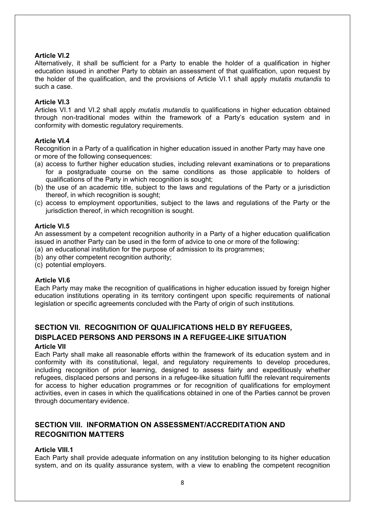# **Article VI.2**

Alternatively, it shall be sufficient for a Party to enable the holder of a qualification in higher education issued in another Party to obtain an assessment of that qualification, upon request by the holder of the qualification, and the provisions of Article VI.1 shall apply *mutatis mutandis* to such a case.

#### **Article VI.3**

Articles VI.1 and VI.2 shall apply *mutatis mutandis* to qualifications in higher education obtained through non-traditional modes within the framework of a Party's education system and in conformity with domestic regulatory requirements.

#### **Article VI.4**

Recognition in a Party of a qualification in higher education issued in another Party may have one or more of the following consequences:

- (a) access to further higher education studies, including relevant examinations or to preparations for a postgraduate course on the same conditions as those applicable to holders of qualifications of the Party in which recognition is sought;
- (b) the use of an academic title, subject to the laws and regulations of the Party or a jurisdiction thereof, in which recognition is sought;
- (c) access to employment opportunities, subject to the laws and regulations of the Party or the jurisdiction thereof, in which recognition is sought.

#### **Article VI.5**

An assessment by a competent recognition authority in a Party of a higher education qualification issued in another Party can be used in the form of advice to one or more of the following:

- (a) an educational institution for the purpose of admission to its programmes;
- (b) any other competent recognition authority;
- (c) potential employers.

# **Article VI.6**

Each Party may make the recognition of qualifications in higher education issued by foreign higher education institutions operating in its territory contingent upon specific requirements of national legislation or specific agreements concluded with the Party of origin of such institutions.

# **SECTION VII. RECOGNITION OF QUALIFICATIONS HELD BY REFUGEES, DISPLACED PERSONS AND PERSONS IN A REFUGEE-LIKE SITUATION**

# **Article VII**

Each Party shall make all reasonable efforts within the framework of its education system and in conformity with its constitutional, legal, and regulatory requirements to develop procedures, including recognition of prior learning, designed to assess fairly and expeditiously whether refugees, displaced persons and persons in a refugee-like situation fulfil the relevant requirements for access to higher education programmes or for recognition of qualifications for employment activities, even in cases in which the qualifications obtained in one of the Parties cannot be proven through documentary evidence.

# **SECTION VIII. INFORMATION ON ASSESSMENT/ACCREDITATION AND RECOGNITION MATTERS**

#### **Article VIII.1**

Each Party shall provide adequate information on any institution belonging to its higher education system, and on its quality assurance system, with a view to enabling the competent recognition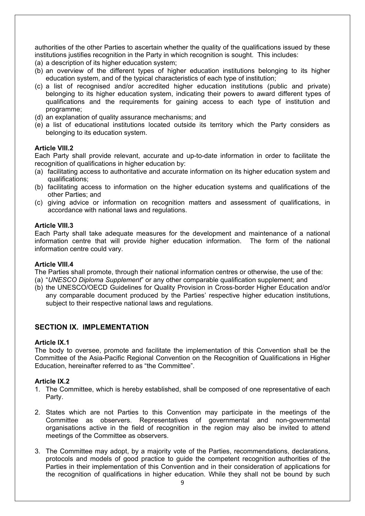authorities of the other Parties to ascertain whether the quality of the qualifications issued by these institutions justifies recognition in the Party in which recognition is sought. This includes:

- (a) a description of its higher education system;
- (b) an overview of the different types of higher education institutions belonging to its higher education system, and of the typical characteristics of each type of institution;
- (c) a list of recognised and/or accredited higher education institutions (public and private) belonging to its higher education system, indicating their powers to award different types of qualifications and the requirements for gaining access to each type of institution and programme;
- (d) an explanation of quality assurance mechanisms; and
- (e) a list of educational institutions located outside its territory which the Party considers as belonging to its education system.

#### **Article VIII.2**

Each Party shall provide relevant, accurate and up-to-date information in order to facilitate the recognition of qualifications in higher education by:

- (a) facilitating access to authoritative and accurate information on its higher education system and qualifications;
- (b) facilitating access to information on the higher education systems and qualifications of the other Parties; and
- (c) giving advice or information on recognition matters and assessment of qualifications, in accordance with national laws and regulations.

#### **Article VIII.3**

Each Party shall take adequate measures for the development and maintenance of a national information centre that will provide higher education information. The form of the national information centre could vary.

#### **Article VIII.4**

The Parties shall promote, through their national information centres or otherwise, the use of the:

- (a) "*UNESCO Diploma Supplement*" or any other comparable qualification supplement; and
- (b) the UNESCO/OECD Guidelines for Quality Provision in Cross-border Higher Education and/or any comparable document produced by the Parties' respective higher education institutions, subject to their respective national laws and regulations.

# **SECTION IX. IMPLEMENTATION**

# **Article IX.1**

The body to oversee, promote and facilitate the implementation of this Convention shall be the Committee of the Asia-Pacific Regional Convention on the Recognition of Qualifications in Higher Education, hereinafter referred to as "the Committee".

# **Article IX.2**

- 1. The Committee, which is hereby established, shall be composed of one representative of each Party.
- 2. States which are not Parties to this Convention may participate in the meetings of the Committee as observers. Representatives of governmental and non-governmental organisations active in the field of recognition in the region may also be invited to attend meetings of the Committee as observers.
- 3. The Committee may adopt, by a majority vote of the Parties, recommendations, declarations, protocols and models of good practice to guide the competent recognition authorities of the Parties in their implementation of this Convention and in their consideration of applications for the recognition of qualifications in higher education. While they shall not be bound by such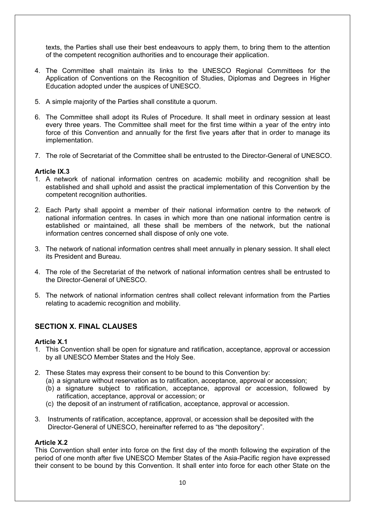texts, the Parties shall use their best endeavours to apply them, to bring them to the attention of the competent recognition authorities and to encourage their application.

- 4. The Committee shall maintain its links to the UNESCO Regional Committees for the Application of Conventions on the Recognition of Studies, Diplomas and Degrees in Higher Education adopted under the auspices of UNESCO.
- 5. A simple majority of the Parties shall constitute a quorum.
- 6. The Committee shall adopt its Rules of Procedure. It shall meet in ordinary session at least every three years. The Committee shall meet for the first time within a year of the entry into force of this Convention and annually for the first five years after that in order to manage its implementation.
- 7. The role of Secretariat of the Committee shall be entrusted to the Director-General of UNESCO.

# **Article IX.3**

- 1. A network of national information centres on academic mobility and recognition shall be established and shall uphold and assist the practical implementation of this Convention by the competent recognition authorities.
- 2. Each Party shall appoint a member of their national information centre to the network of national information centres. In cases in which more than one national information centre is established or maintained, all these shall be members of the network, but the national information centres concerned shall dispose of only one vote.
- 3. The network of national information centres shall meet annually in plenary session. It shall elect its President and Bureau.
- 4. The role of the Secretariat of the network of national information centres shall be entrusted to the Director-General of UNESCO.
- 5. The network of national information centres shall collect relevant information from the Parties relating to academic recognition and mobility.

# **SECTION X. FINAL CLAUSES**

# **Article X.1**

- 1. This Convention shall be open for signature and ratification, acceptance, approval or accession by all UNESCO Member States and the Holy See.
- 2. These States may express their consent to be bound to this Convention by:
	- (a) a signature without reservation as to ratification, acceptance, approval or accession;
	- (b) a signature subject to ratification, acceptance, approval or accession, followed by ratification, acceptance, approval or accession; or
	- (c) the deposit of an instrument of ratification, acceptance, approval or accession.
- 3. Instruments of ratification, acceptance, approval, or accession shall be deposited with the Director-General of UNESCO, hereinafter referred to as "the depository".

#### **Article X.2**

This Convention shall enter into force on the first day of the month following the expiration of the period of one month after five UNESCO Member States of the Asia-Pacific region have expressed their consent to be bound by this Convention. It shall enter into force for each other State on the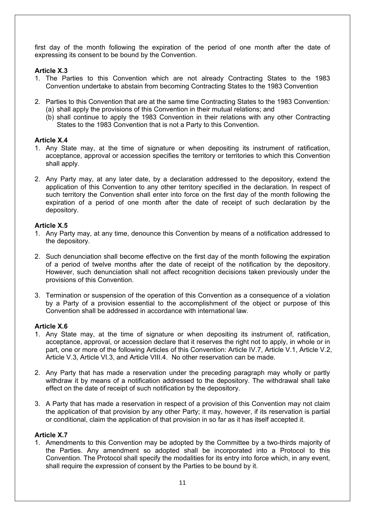first day of the month following the expiration of the period of one month after the date of expressing its consent to be bound by the Convention.

# **Article X.3**

- 1. The Parties to this Convention which are not already Contracting States to the 1983 Convention undertake to abstain from becoming Contracting States to the 1983 Convention
- 2. Parties to this Convention that are at the same time Contracting States to the 1983 Convention*:* (a) shall apply the provisions of this Convention in their mutual relations; and
	- (b) shall continue to apply the 1983 Convention in their relations with any other Contracting States to the 1983 Convention that is not a Party to this Convention.

# **Article X.4**

- 1. Any State may, at the time of signature or when depositing its instrument of ratification, acceptance, approval or accession specifies the territory or territories to which this Convention shall apply.
- 2. Any Party may, at any later date, by a declaration addressed to the depository, extend the application of this Convention to any other territory specified in the declaration. In respect of such territory the Convention shall enter into force on the first day of the month following the expiration of a period of one month after the date of receipt of such declaration by the depository.

# **Article X.5**

- 1. Any Party may, at any time, denounce this Convention by means of a notification addressed to the depository.
- 2. Such denunciation shall become effective on the first day of the month following the expiration of a period of twelve months after the date of receipt of the notification by the depository. However, such denunciation shall not affect recognition decisions taken previously under the provisions of this Convention.
- 3. Termination or suspension of the operation of this Convention as a consequence of a violation by a Party of a provision essential to the accomplishment of the object or purpose of this Convention shall be addressed in accordance with international law.

# **Article X.6**

- 1. Any State may, at the time of signature or when depositing its instrument of, ratification, acceptance, approval, or accession declare that it reserves the right not to apply, in whole or in part, one or more of the following Articles of this Convention: Article IV.7, Article V.1, Article V.2, Article V.3, Article VI.3, and Article VIII.4. No other reservation can be made.
- 2. Any Party that has made a reservation under the preceding paragraph may wholly or partly withdraw it by means of a notification addressed to the depository. The withdrawal shall take effect on the date of receipt of such notification by the depository.
- 3. A Party that has made a reservation in respect of a provision of this Convention may not claim the application of that provision by any other Party; it may, however, if its reservation is partial or conditional, claim the application of that provision in so far as it has itself accepted it.

# **Article X.7**

1. Amendments to this Convention may be adopted by the Committee by a two-thirds majority of the Parties. Any amendment so adopted shall be incorporated into a Protocol to this Convention. The Protocol shall specify the modalities for its entry into force which, in any event, shall require the expression of consent by the Parties to be bound by it.